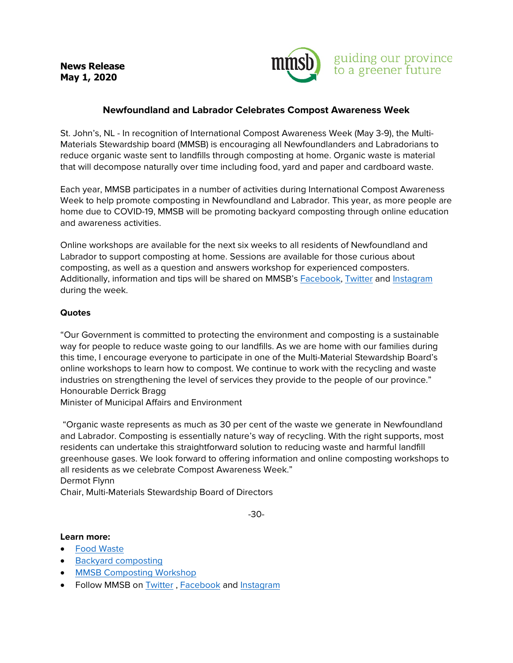**News Release May 1, 2020** 



## **Newfoundland and Labrador Celebrates Compost Awareness Week**

St. John's, NL - In recognition of International Compost Awareness Week (May 3-9), the Multi-Materials Stewardship board (MMSB) is encouraging all Newfoundlanders and Labradorians to reduce organic waste sent to landfills through composting at home. Organic waste is material that will decompose naturally over time including food, yard and paper and cardboard waste.

Each year, MMSB participates in a number of activities during International Compost Awareness Week to help promote composting in Newfoundland and Labrador. This year, as more people are home due to COVID-19, MMSB will be promoting backyard composting through online education and awareness activities.

Online workshops are available for the next six weeks to all residents of Newfoundland and Labrador to support composting at home. Sessions are available for those curious about composting, as well as a question and answers workshop for experienced composters. Additionally, information and tips will be shared on MMSB's [Facebook,](https://www.facebook.com/rethinkwastenl/) [Twitter](https://twitter.com/mmsbnl) and [Instagram](https://www.instagram.com/mmsbnl/) during the week.

## **Quotes**

"Our Government is committed to protecting the environment and composting is a sustainable way for people to reduce waste going to our landfills. As we are home with our families during this time, I encourage everyone to participate in one of the Multi-Material Stewardship Board's online workshops to learn how to compost. We continue to work with the recycling and waste industries on strengthening the level of services they provide to the people of our province." Honourable Derrick Bragg

Minister of Municipal Affairs and Environment

"Organic waste represents as much as 30 per cent of the waste we generate in Newfoundland and Labrador. Composting is essentially nature's way of recycling. With the right supports, most residents can undertake this straightforward solution to reducing waste and harmful landfill greenhouse gases. We look forward to offering information and online composting workshops to all residents as we celebrate Compost Awareness Week." Dermot Flynn

Chair, Multi-Materials Stewardship Board of Directors

-30-

## **Learn more:**

- [Food Waste](https://rethinkwastenl.ca/food-waste/)
- [Backyard composting](https://rethinkwastenl.ca/food-waste/backyard-composting/)
- [MMSB Composting Workshop](https://rethinkwastenl.ca/community/community-outreach/)
- Follow MMSB on [Twitter](https://twitter.com/mmsbnl), [Facebook](https://www.facebook.com/rethinkwastenl/) and [Instagram](https://www.instagram.com/mmsbnl/)